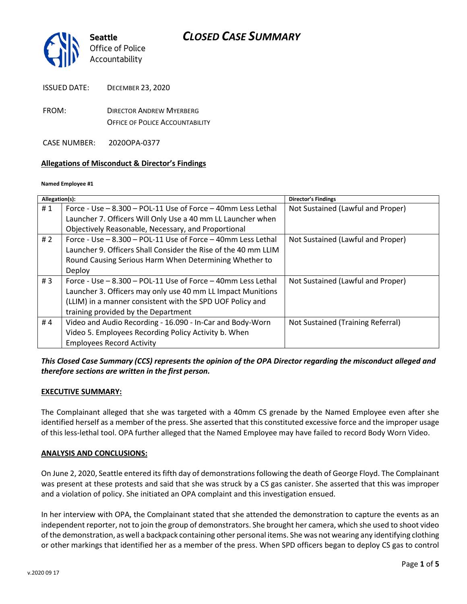

FROM: DIRECTOR ANDREW MYERBERG OFFICE OF POLICE ACCOUNTABILITY

CASE NUMBER: 2020OPA-0377

### **Allegations of Misconduct & Director's Findings**

#### **Named Employee #1**

| Allegation(s): |                                                                    | Director's Findings               |
|----------------|--------------------------------------------------------------------|-----------------------------------|
| #1             | Force - Use $-$ 8.300 $-$ POL-11 Use of Force $-$ 40mm Less Lethal | Not Sustained (Lawful and Proper) |
|                | Launcher 7. Officers Will Only Use a 40 mm LL Launcher when        |                                   |
|                | Objectively Reasonable, Necessary, and Proportional                |                                   |
| #2             | Force - Use - 8.300 - POL-11 Use of Force - 40mm Less Lethal       | Not Sustained (Lawful and Proper) |
|                | Launcher 9. Officers Shall Consider the Rise of the 40 mm LLIM     |                                   |
|                | Round Causing Serious Harm When Determining Whether to             |                                   |
|                | Deploy                                                             |                                   |
| #3             | Force - Use $-$ 8.300 $-$ POL-11 Use of Force $-$ 40mm Less Lethal | Not Sustained (Lawful and Proper) |
|                | Launcher 3. Officers may only use 40 mm LL Impact Munitions        |                                   |
|                | (LLIM) in a manner consistent with the SPD UOF Policy and          |                                   |
|                | training provided by the Department                                |                                   |
| #4             | Video and Audio Recording - 16.090 - In-Car and Body-Worn          | Not Sustained (Training Referral) |
|                | Video 5. Employees Recording Policy Activity b. When               |                                   |
|                | <b>Employees Record Activity</b>                                   |                                   |

### *This Closed Case Summary (CCS) represents the opinion of the OPA Director regarding the misconduct alleged and therefore sections are written in the first person.*

### **EXECUTIVE SUMMARY:**

The Complainant alleged that she was targeted with a 40mm CS grenade by the Named Employee even after she identified herself as a member of the press. She asserted that this constituted excessive force and the improper usage of this less-lethal tool. OPA further alleged that the Named Employee may have failed to record Body Worn Video.

### **ANALYSIS AND CONCLUSIONS:**

On June 2, 2020, Seattle entered its fifth day of demonstrations following the death of George Floyd. The Complainant was present at these protests and said that she was struck by a CS gas canister. She asserted that this was improper and a violation of policy. She initiated an OPA complaint and this investigation ensued.

In her interview with OPA, the Complainant stated that she attended the demonstration to capture the events as an independent reporter, not to join the group of demonstrators. She brought her camera, which she used to shoot video of the demonstration, as well a backpack containing other personal items. She was not wearing any identifying clothing or other markings that identified her as a member of the press. When SPD officers began to deploy CS gas to control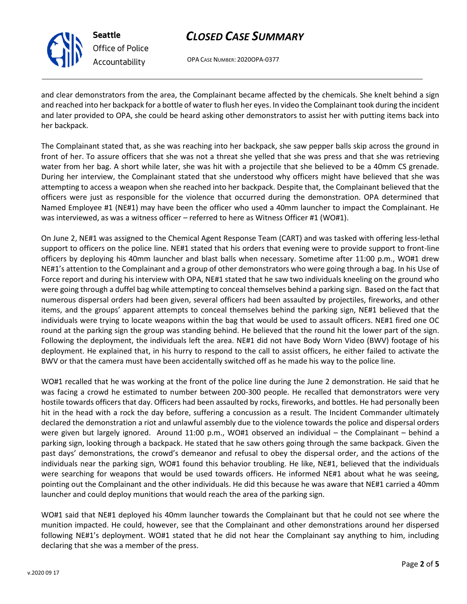

**Seattle** *Office of Police Accountability*

# *CLOSED CASE SUMMARY*

OPA CASE NUMBER: 2020OPA-0377

and clear demonstrators from the area, the Complainant became affected by the chemicals. She knelt behind a sign and reached into her backpack for a bottle of water to flush her eyes. In video the Complainant took during the incident and later provided to OPA, she could be heard asking other demonstrators to assist her with putting items back into her backpack.

The Complainant stated that, as she was reaching into her backpack, she saw pepper balls skip across the ground in front of her. To assure officers that she was not a threat she yelled that she was press and that she was retrieving water from her bag. A short while later, she was hit with a projectile that she believed to be a 40mm CS grenade. During her interview, the Complainant stated that she understood why officers might have believed that she was attempting to access a weapon when she reached into her backpack. Despite that, the Complainant believed that the officers were just as responsible for the violence that occurred during the demonstration. OPA determined that Named Employee #1 (NE#1) may have been the officer who used a 40mm launcher to impact the Complainant. He was interviewed, as was a witness officer – referred to here as Witness Officer #1 (WO#1).

On June 2, NE#1 was assigned to the Chemical Agent Response Team (CART) and was tasked with offering less-lethal support to officers on the police line. NE#1 stated that his orders that evening were to provide support to front-line officers by deploying his 40mm launcher and blast balls when necessary. Sometime after 11:00 p.m., WO#1 drew NE#1's attention to the Complainant and a group of other demonstrators who were going through a bag. In his Use of Force report and during his interview with OPA, NE#1 stated that he saw two individuals kneeling on the ground who were going through a duffel bag while attempting to conceal themselves behind a parking sign. Based on the fact that numerous dispersal orders had been given, several officers had been assaulted by projectiles, fireworks, and other items, and the groups' apparent attempts to conceal themselves behind the parking sign, NE#1 believed that the individuals were trying to locate weapons within the bag that would be used to assault officers. NE#1 fired one OC round at the parking sign the group was standing behind. He believed that the round hit the lower part of the sign. Following the deployment, the individuals left the area. NE#1 did not have Body Worn Video (BWV) footage of his deployment. He explained that, in his hurry to respond to the call to assist officers, he either failed to activate the BWV or that the camera must have been accidentally switched off as he made his way to the police line.

WO#1 recalled that he was working at the front of the police line during the June 2 demonstration. He said that he was facing a crowd he estimated to number between 200-300 people. He recalled that demonstrators were very hostile towards officers that day. Officers had been assaulted by rocks, fireworks, and bottles. He had personally been hit in the head with a rock the day before, suffering a concussion as a result. The Incident Commander ultimately declared the demonstration a riot and unlawful assembly due to the violence towards the police and dispersal orders were given but largely ignored. Around 11:00 p.m., WO#1 observed an individual – the Complainant – behind a parking sign, looking through a backpack. He stated that he saw others going through the same backpack. Given the past days' demonstrations, the crowd's demeanor and refusal to obey the dispersal order, and the actions of the individuals near the parking sign, WO#1 found this behavior troubling. He like, NE#1, believed that the individuals were searching for weapons that would be used towards officers. He informed NE#1 about what he was seeing, pointing out the Complainant and the other individuals. He did this because he was aware that NE#1 carried a 40mm launcher and could deploy munitions that would reach the area of the parking sign.

WO#1 said that NE#1 deployed his 40mm launcher towards the Complainant but that he could not see where the munition impacted. He could, however, see that the Complainant and other demonstrations around her dispersed following NE#1's deployment. WO#1 stated that he did not hear the Complainant say anything to him, including declaring that she was a member of the press.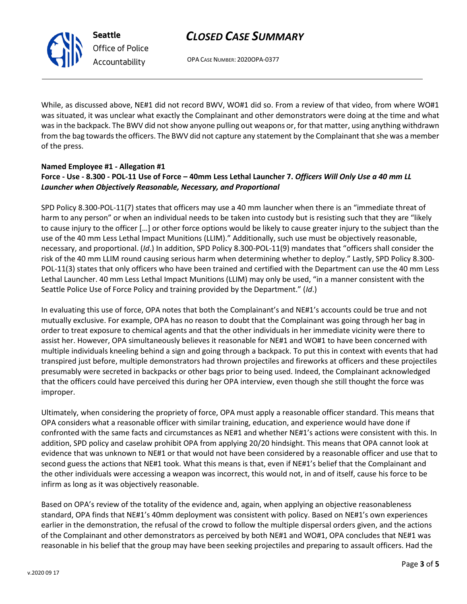## *CLOSED CASE SUMMARY*

OPA CASE NUMBER: 2020OPA-0377

While, as discussed above, NE#1 did not record BWV, WO#1 did so. From a review of that video, from where WO#1 was situated, it was unclear what exactly the Complainant and other demonstrators were doing at the time and what was in the backpack. The BWV did not show anyone pulling out weapons or, for that matter, using anything withdrawn from the bag towards the officers. The BWV did not capture any statement by the Complainant that she was a member of the press.

#### **Named Employee #1 - Allegation #1 Force - Use - 8.300 - POL-11 Use of Force – 40mm Less Lethal Launcher 7.** *Officers Will Only Use a 40 mm LL Launcher when Objectively Reasonable, Necessary, and Proportional*

SPD Policy 8.300-POL-11(7) states that officers may use a 40 mm launcher when there is an "immediate threat of harm to any person" or when an individual needs to be taken into custody but is resisting such that they are "likely to cause injury to the officer […] or other force options would be likely to cause greater injury to the subject than the use of the 40 mm Less Lethal Impact Munitions (LLIM)." Additionally, such use must be objectively reasonable, necessary, and proportional. (*Id*.) In addition, SPD Policy 8.300-POL-11(9) mandates that "officers shall consider the risk of the 40 mm LLIM round causing serious harm when determining whether to deploy." Lastly, SPD Policy 8.300- POL-11(3) states that only officers who have been trained and certified with the Department can use the 40 mm Less Lethal Launcher. 40 mm Less Lethal Impact Munitions (LLIM) may only be used, "in a manner consistent with the Seattle Police Use of Force Policy and training provided by the Department." (*Id*.)

In evaluating this use of force, OPA notes that both the Complainant's and NE#1's accounts could be true and not mutually exclusive. For example, OPA has no reason to doubt that the Complainant was going through her bag in order to treat exposure to chemical agents and that the other individuals in her immediate vicinity were there to assist her. However, OPA simultaneously believes it reasonable for NE#1 and WO#1 to have been concerned with multiple individuals kneeling behind a sign and going through a backpack. To put this in context with events that had transpired just before, multiple demonstrators had thrown projectiles and fireworks at officers and these projectiles presumably were secreted in backpacks or other bags prior to being used. Indeed, the Complainant acknowledged that the officers could have perceived this during her OPA interview, even though she still thought the force was improper.

Ultimately, when considering the propriety of force, OPA must apply a reasonable officer standard. This means that OPA considers what a reasonable officer with similar training, education, and experience would have done if confronted with the same facts and circumstances as NE#1 and whether NE#1's actions were consistent with this. In addition, SPD policy and caselaw prohibit OPA from applying 20/20 hindsight. This means that OPA cannot look at evidence that was unknown to NE#1 or that would not have been considered by a reasonable officer and use that to second guess the actions that NE#1 took. What this means is that, even if NE#1's belief that the Complainant and the other individuals were accessing a weapon was incorrect, this would not, in and of itself, cause his force to be infirm as long as it was objectively reasonable.

Based on OPA's review of the totality of the evidence and, again, when applying an objective reasonableness standard, OPA finds that NE#1's 40mm deployment was consistent with policy. Based on NE#1's own experiences earlier in the demonstration, the refusal of the crowd to follow the multiple dispersal orders given, and the actions of the Complainant and other demonstrators as perceived by both NE#1 and WO#1, OPA concludes that NE#1 was reasonable in his belief that the group may have been seeking projectiles and preparing to assault officers. Had the



**Seattle**

*Office of Police Accountability*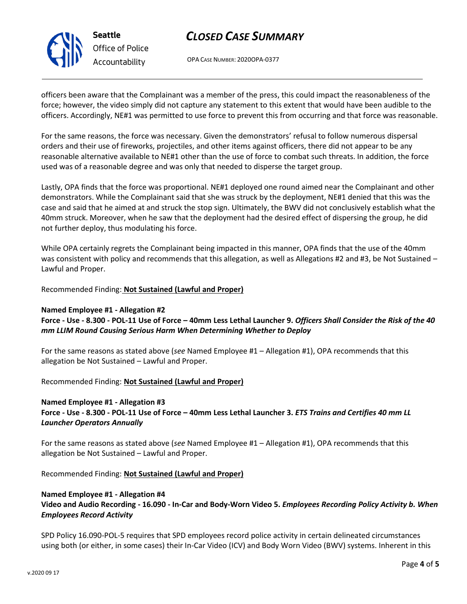

# *CLOSED CASE SUMMARY*

OPA CASE NUMBER: 2020OPA-0377

officers been aware that the Complainant was a member of the press, this could impact the reasonableness of the force; however, the video simply did not capture any statement to this extent that would have been audible to the officers. Accordingly, NE#1 was permitted to use force to prevent this from occurring and that force was reasonable.

For the same reasons, the force was necessary. Given the demonstrators' refusal to follow numerous dispersal orders and their use of fireworks, projectiles, and other items against officers, there did not appear to be any reasonable alternative available to NE#1 other than the use of force to combat such threats. In addition, the force used was of a reasonable degree and was only that needed to disperse the target group.

Lastly, OPA finds that the force was proportional. NE#1 deployed one round aimed near the Complainant and other demonstrators. While the Complainant said that she was struck by the deployment, NE#1 denied that this was the case and said that he aimed at and struck the stop sign. Ultimately, the BWV did not conclusively establish what the 40mm struck. Moreover, when he saw that the deployment had the desired effect of dispersing the group, he did not further deploy, thus modulating his force.

While OPA certainly regrets the Complainant being impacted in this manner, OPA finds that the use of the 40mm was consistent with policy and recommends that this allegation, as well as Allegations #2 and #3, be Not Sustained – Lawful and Proper.

### Recommended Finding: **Not Sustained (Lawful and Proper)**

### **Named Employee #1 - Allegation #2**

### **Force - Use - 8.300 - POL-11 Use of Force – 40mm Less Lethal Launcher 9.** *Officers Shall Consider the Risk of the 40 mm LLIM Round Causing Serious Harm When Determining Whether to Deploy*

For the same reasons as stated above (*see* Named Employee #1 – Allegation #1), OPA recommends that this allegation be Not Sustained – Lawful and Proper.

### Recommended Finding: **Not Sustained (Lawful and Proper)**

## **Named Employee #1 - Allegation #3 Force - Use - 8.300 - POL-11 Use of Force – 40mm Less Lethal Launcher 3.** *ETS Trains and Certifies 40 mm LL Launcher Operators Annually*

For the same reasons as stated above (*see* Named Employee #1 – Allegation #1), OPA recommends that this allegation be Not Sustained – Lawful and Proper.

Recommended Finding: **Not Sustained (Lawful and Proper)**

#### **Named Employee #1 - Allegation #4**

**Video and Audio Recording - 16.090 - In-Car and Body-Worn Video 5.** *Employees Recording Policy Activity b. When Employees Record Activity*

SPD Policy 16.090-POL-5 requires that SPD employees record police activity in certain delineated circumstances using both (or either, in some cases) their In-Car Video (ICV) and Body Worn Video (BWV) systems. Inherent in this